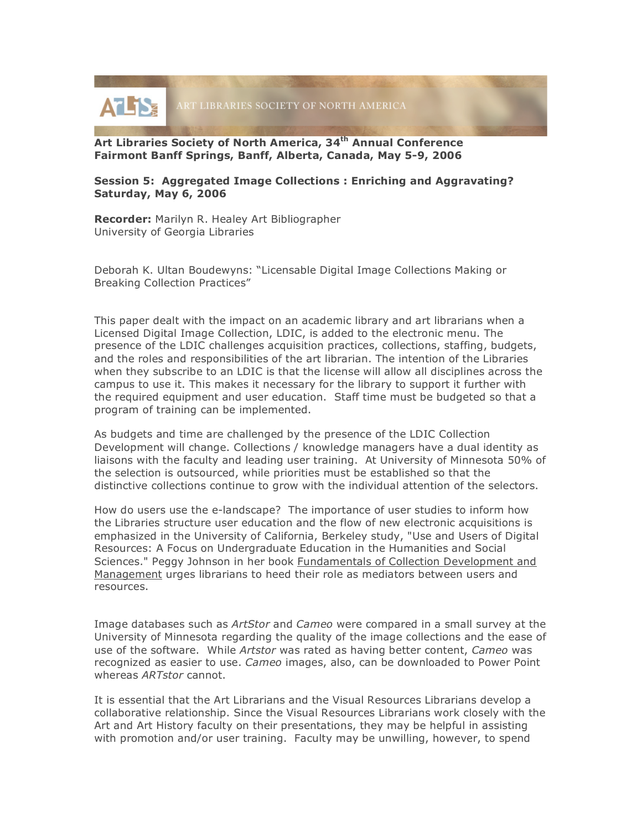

**Art Libraries Society of North America, 34th Annual Conference Fairmont Banff Springs, Banff, Alberta, Canada, May 5-9, 2006**

## **Session 5: Aggregated Image Collections : Enriching and Aggravating? Saturday, May 6, 2006**

**Recorder:** Marilyn R. Healey Art Bibliographer University of Georgia Libraries

Deborah K. Ultan Boudewyns: "Licensable Digital Image Collections Making or Breaking Collection Practices"

This paper dealt with the impact on an academic library and art librarians when a Licensed Digital Image Collection, LDIC, is added to the electronic menu. The presence of the LDIC challenges acquisition practices, collections, staffing, budgets, and the roles and responsibilities of the art librarian. The intention of the Libraries when they subscribe to an LDIC is that the license will allow all disciplines across the campus to use it. This makes it necessary for the library to support it further with the required equipment and user education. Staff time must be budgeted so that a program of training can be implemented.

As budgets and time are challenged by the presence of the LDIC Collection Development will change. Collections / knowledge managers have a dual identity as liaisons with the faculty and leading user training. At University of Minnesota 50% of the selection is outsourced, while priorities must be established so that the distinctive collections continue to grow with the individual attention of the selectors.

How do users use the e-landscape? The importance of user studies to inform how the Libraries structure user education and the flow of new electronic acquisitions is emphasized in the University of California, Berkeley study, "Use and Users of Digital Resources: A Focus on Undergraduate Education in the Humanities and Social Sciences." Peggy Johnson in her book Fundamentals of Collection Development and Management urges librarians to heed their role as mediators between users and resources.

Image databases such as *ArtStor* and *Cameo* were compared in a small survey at the University of Minnesota regarding the quality of the image collections and the ease of use of the software. While *Artstor* was rated as having better content, *Cameo* was recognized as easier to use. *Cameo* images, also, can be downloaded to Power Point whereas *ARTstor* cannot.

It is essential that the Art Librarians and the Visual Resources Librarians develop a collaborative relationship. Since the Visual Resources Librarians work closely with the Art and Art History faculty on their presentations, they may be helpful in assisting with promotion and/or user training. Faculty may be unwilling, however, to spend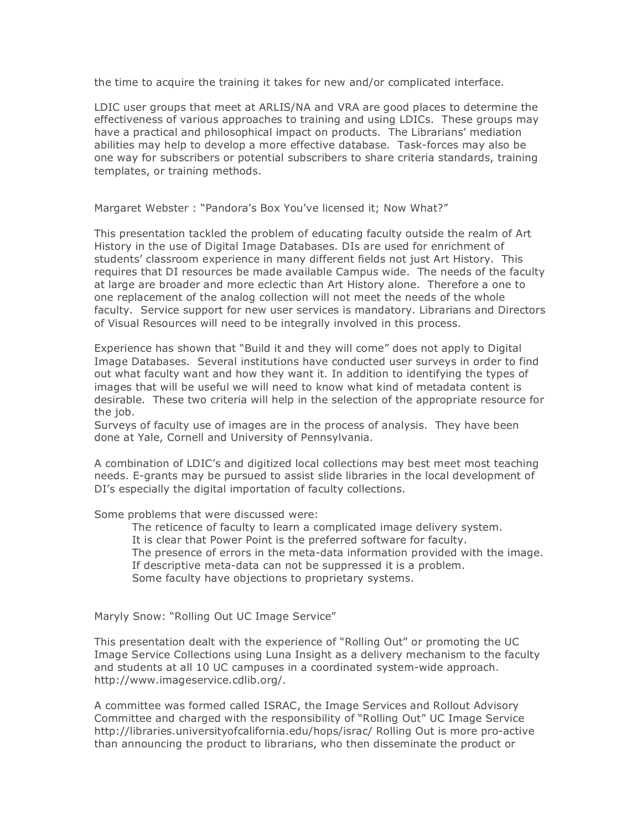the time to acquire the training it takes for new and/or complicated interface.

LDIC user groups that meet at ARLIS/NA and VRA are good places to determine the effectiveness of various approaches to training and using LDICs. These groups may have a practical and philosophical impact on products. The Librarians' mediation abilities may help to develop a more effective database. Task-forces may also be one way for subscribers or potential subscribers to share criteria standards, training templates, or training methods.

Margaret Webster : "Pandora's Box You've licensed it; Now What?"

This presentation tackled the problem of educating faculty outside the realm of Art History in the use of Digital Image Databases. DIs are used for enrichment of students' classroom experience in many different fields not just Art History. This requires that DI resources be made available Campus wide. The needs of the faculty at large are broader and more eclectic than Art History alone. Therefore a one to one replacement of the analog collection will not meet the needs of the whole faculty. Service support for new user services is mandatory. Librarians and Directors of Visual Resources will need to be integrally involved in this process.

Experience has shown that "Build it and they will come" does not apply to Digital Image Databases. Several institutions have conducted user surveys in order to find out what faculty want and how they want it. In addition to identifying the types of images that will be useful we will need to know what kind of metadata content is desirable. These two criteria will help in the selection of the appropriate resource for the job.

Surveys of faculty use of images are in the process of analysis. They have been done at Yale, Cornell and University of Pennsylvania.

A combination of LDIC's and digitized local collections may best meet most teaching needs. E-grants may be pursued to assist slide libraries in the local development of DI's especially the digital importation of faculty collections.

Some problems that were discussed were:

The reticence of faculty to learn a complicated image delivery system. It is clear that Power Point is the preferred software for faculty. The presence of errors in the meta-data information provided with the image. If descriptive meta-data can not be suppressed it is a problem. Some faculty have objections to proprietary systems.

Maryly Snow: "Rolling Out UC Image Service"

This presentation dealt with the experience of "Rolling Out" or promoting the UC Image Service Collections using Luna Insight as a delivery mechanism to the faculty and students at all 10 UC campuses in a coordinated system-wide approach. http://www.imageservice.cdlib.org/.

A committee was formed called ISRAC, the Image Services and Rollout Advisory Committee and charged with the responsibility of "Rolling Out" UC Image Service http://libraries.universityofcalifornia.edu/hops/israc/ Rolling Out is more pro-active than announcing the product to librarians, who then disseminate the product or